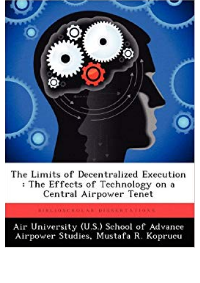

The Limits of Decentralized Execution : The Effects of Technology on a Central Airpower Tenet

BIBLION COLAR DISSALTATIONS

Air University (U.S.) School of Advance Airpower Studies, Mustafa R. Koprucu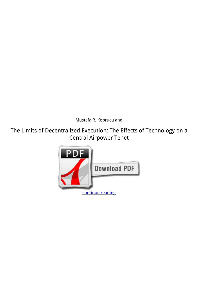*Mustafa R. Koprucu and*

**The Limits of Decentralized Execution: The Effects of Technology on a Central Airpower Tenet**

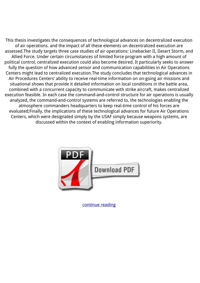This thesis investigates the consequences of technological advances on decentralized execution of air operations. and the impact of all these elements on decentralized execution are assessed.The study targets three case studies of air operations: Linebacker II, Desert Storm, and Allied Force. Under certain circumstances of limited force program with a high amount of political control, centralized execution could also become desired. It particularly seeks to answer fully the question of how advanced sensor and communication capabilities in Air Operations Centers might lead to centralized execution.The study concludes that technological advances in Air Procedures Centers' ability to receive real-time information on on-going air missions and situational shows that provide it detailed information on local conditions in the battle area, combined with a concurrent capacity to communicate with strike aircraft, makes centralized execution feasible. In each case the command-and-control structure for air operations is usually analyzed, the command-and-control systems are referred to, the technologies enabling the atmosphere commanders headquarters to keep real-time control of his forces are evaluated;Finally, the implications of these technological advances for future Air Operations Centers, which were designated simply by the USAF simply because weapons systems, are discussed within the context of enabling information superiority.



[continue reading](http://bit.ly/2Tge8Fv)